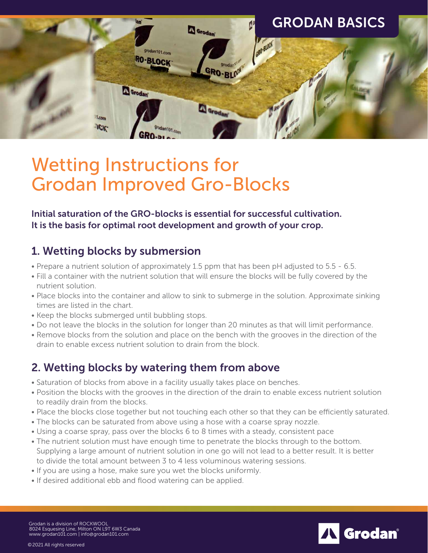

# Wetting Instructions for Grodan Improved Gro-Blocks

Initial saturation of the GRO-blocks is essential for successful cultivation. It is the basis for optimal root development and growth of your crop.

# 1. Wetting blocks by submersion

- Prepare a nutrient solution of approximately 1.5 ppm that has been pH adjusted to 5.5 6.5.
- Fill a container with the nutrient solution that will ensure the blocks will be fully covered by the nutrient solution.
- Place blocks into the container and allow to sink to submerge in the solution. Approximate sinking times are listed in the chart.
- Keep the blocks submerged until bubbling stops.
- Do not leave the blocks in the solution for longer than 20 minutes as that will limit performance.
- Remove blocks from the solution and place on the bench with the grooves in the direction of the drain to enable excess nutrient solution to drain from the block.

# 2. Wetting blocks by watering them from above

- Saturation of blocks from above in a facility usually takes place on benches.
- Position the blocks with the grooves in the direction of the drain to enable excess nutrient solution to readily drain from the blocks.
- Place the blocks close together but not touching each other so that they can be efficiently saturated.
- The blocks can be saturated from above using a hose with a coarse spray nozzle.
- Using a coarse spray, pass over the blocks 6 to 8 times with a steady, consistent pace
- The nutrient solution must have enough time to penetrate the blocks through to the bottom. Supplying a large amount of nutrient solution in one go will not lead to a better result. It is better to divide the total amount between 3 to 4 less voluminous watering sessions.

Grodan®

- If you are using a hose, make sure you wet the blocks uniformly.
- If desired additional ebb and flood watering can be applied.